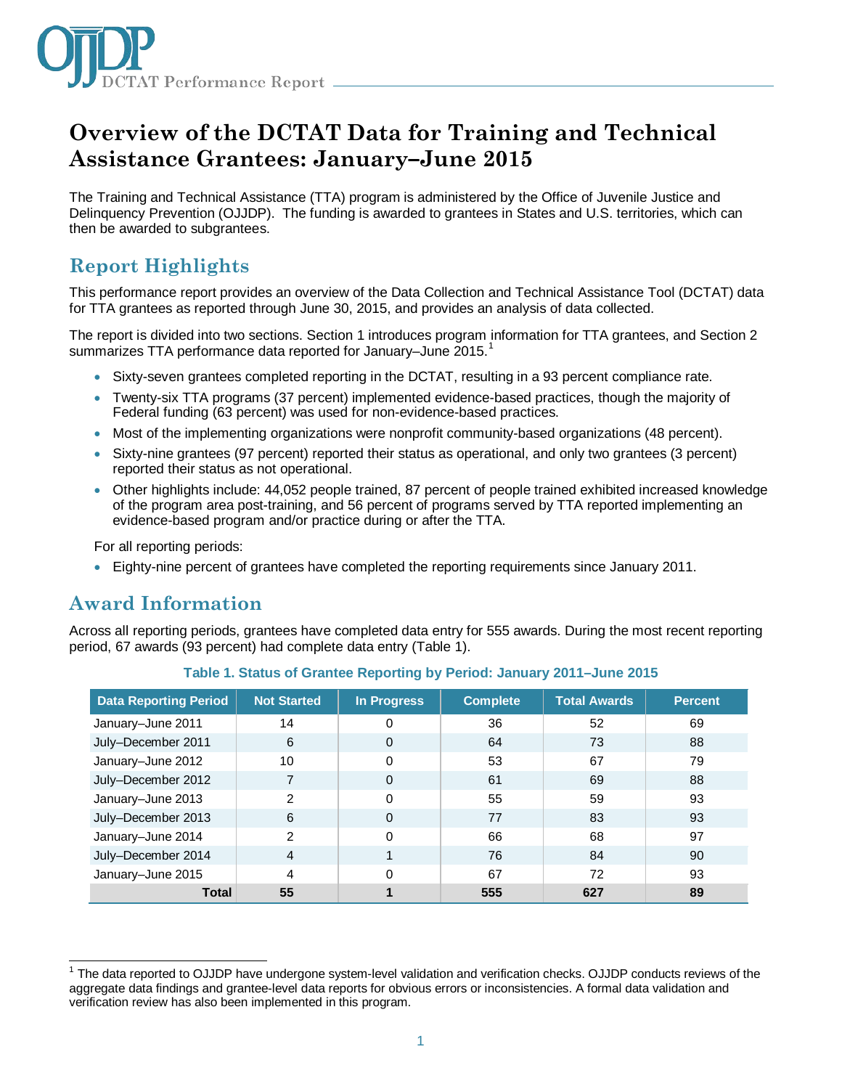

# **Overview of the DCTAT Data for Training and Technical Assistance Grantees: January–June 2015**

The Training and Technical Assistance (TTA) program is administered by the Office of Juvenile Justice and Delinquency Prevention (OJJDP). The funding is awarded to grantees in States and U.S. territories, which can then be awarded to subgrantees.

# **Report Highlights**

This performance report provides an overview of the Data Collection and Technical Assistance Tool (DCTAT) data for TTA grantees as reported through June 30, 2015, and provides an analysis of data collected.

The report is divided into two sections. Section 1 introduces program information for TTA grantees, and Section 2 summarizes TTA performance data reported for January-June 20[1](#page-0-0)5.<sup>1</sup>

- Sixty-seven grantees completed reporting in the DCTAT, resulting in a 93 percent compliance rate.
- Twenty-six TTA programs (37 percent) implemented evidence-based practices, though the majority of Federal funding (63 percent) was used for non-evidence-based practices.
- Most of the implementing organizations were nonprofit community-based organizations (48 percent).
- Sixty-nine grantees (97 percent) reported their status as operational, and only two grantees (3 percent) reported their status as not operational.
- Other highlights include: 44,052 people trained, 87 percent of people trained exhibited increased knowledge of the program area post-training, and 56 percent of programs served by TTA reported implementing an evidence-based program and/or practice during or after the TTA.

For all reporting periods:

• Eighty-nine percent of grantees have completed the reporting requirements since January 2011.

# **Award Information**

Across all reporting periods, grantees have completed data entry for 555 awards. During the most recent reporting period, 67 awards (93 percent) had complete data entry (Table 1).

| <b>Data Reporting Period</b> | <b>Not Started</b> | In Progress | <b>Complete</b> | <b>Total Awards</b> | <b>Percent</b> |
|------------------------------|--------------------|-------------|-----------------|---------------------|----------------|
| January-June 2011            | 14                 | 0           | 36              | 52                  | 69             |
| July-December 2011           | 6                  | 0           | 64              | 73                  | 88             |
| January-June 2012            | 10                 | 0           | 53              | 67                  | 79             |
| July-December 2012           |                    | 0           | 61              | 69                  | 88             |
| January-June 2013            | 2                  | 0           | 55              | 59                  | 93             |
| July-December 2013           | 6                  | 0           | 77              | 83                  | 93             |
| January-June 2014            | 2                  | 0           | 66              | 68                  | 97             |
| July-December 2014           | $\overline{4}$     |             | 76              | 84                  | 90             |
| January-June 2015            | 4                  | 0           | 67              | 72                  | 93             |
| <b>Total</b>                 | 55                 |             | 555             | 627                 | 89             |

| Table 1. Status of Grantee Reporting by Period: January 2011-June 2015 |
|------------------------------------------------------------------------|
|------------------------------------------------------------------------|

<span id="page-0-0"></span> $\overline{\phantom{a}}$ <sup>1</sup> The data reported to OJJDP have undergone system-level validation and verification checks. OJJDP conducts reviews of the aggregate data findings and grantee-level data reports for obvious errors or inconsistencies. A formal data validation and verification review has also been implemented in this program.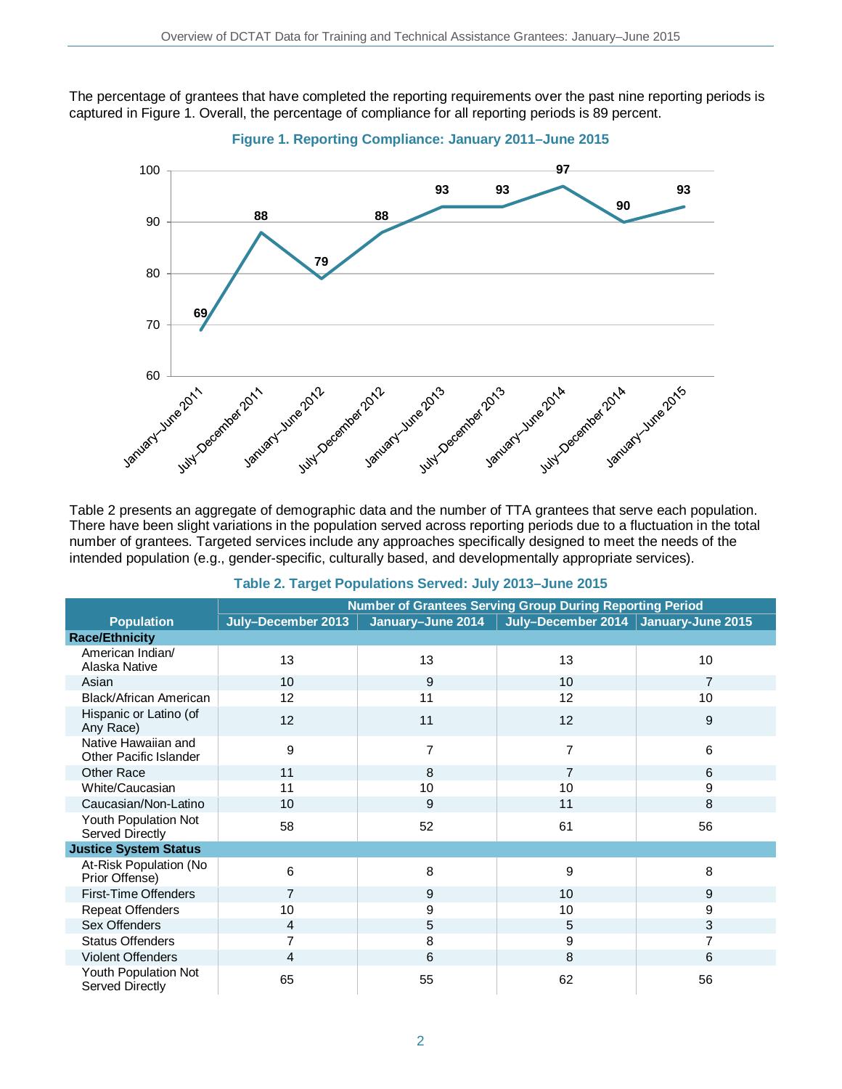The percentage of grantees that have completed the reporting requirements over the past nine reporting periods is captured in Figure 1. Overall, the percentage of compliance for all reporting periods is 89 percent.



**Figure 1. Reporting Compliance: January 2011–June 2015**

There have been slight variations in the population served across reporting periods due to a fluctuation in the total number of grantees. Targeted services include any approaches specifically designed to meet the needs of the intended population (e.g., gender-specific, culturally based, and developmentally appropriate services).

|                                               | <b>Number of Grantees Serving Group During Reporting Period</b> |                   |                                      |                 |
|-----------------------------------------------|-----------------------------------------------------------------|-------------------|--------------------------------------|-----------------|
| <b>Population</b>                             | July-December 2013                                              | January-June 2014 | July-December 2014 January-June 2015 |                 |
| <b>Race/Ethnicity</b>                         |                                                                 |                   |                                      |                 |
| American Indian/<br>Alaska Native             | 13                                                              | 13                | 13                                   | 10 <sup>°</sup> |
| Asian                                         | 10 <sup>1</sup>                                                 | 9                 | 10                                   | $\overline{7}$  |
| Black/African American                        | 12                                                              | 11                | 12                                   | 10              |
| Hispanic or Latino (of<br>Any Race)           | 12                                                              | 11                | 12                                   | 9               |
| Native Hawaiian and<br>Other Pacific Islander | 9                                                               | 7                 | $\overline{7}$                       | 6               |
| Other Race                                    | 11                                                              | 8                 | $\overline{7}$                       | 6               |
| White/Caucasian                               | 11                                                              | 10                | 10                                   | 9               |
| Caucasian/Non-Latino                          | 10                                                              | 9                 | 11                                   | 8               |
| Youth Population Not<br>Served Directly       | 58                                                              | 52                | 61                                   | 56              |
| <b>Justice System Status</b>                  |                                                                 |                   |                                      |                 |
| At-Risk Population (No<br>Prior Offense)      | 6                                                               | 8                 | 9                                    | 8               |
| <b>First-Time Offenders</b>                   | $\overline{7}$                                                  | 9                 | 10                                   | 9               |
| <b>Repeat Offenders</b>                       | 10                                                              | 9                 | 10                                   | 9               |
| Sex Offenders                                 | 4                                                               | 5                 | 5                                    | 3               |
| <b>Status Offenders</b>                       | 7                                                               | 8                 | 9                                    | 7               |
| <b>Violent Offenders</b>                      | 4                                                               | 6                 | 8                                    | 6               |
| Youth Population Not<br>Served Directly       | 65                                                              | 55                | 62                                   | 56              |

### **Table 2. Target Populations Served: July 2013–June 2015**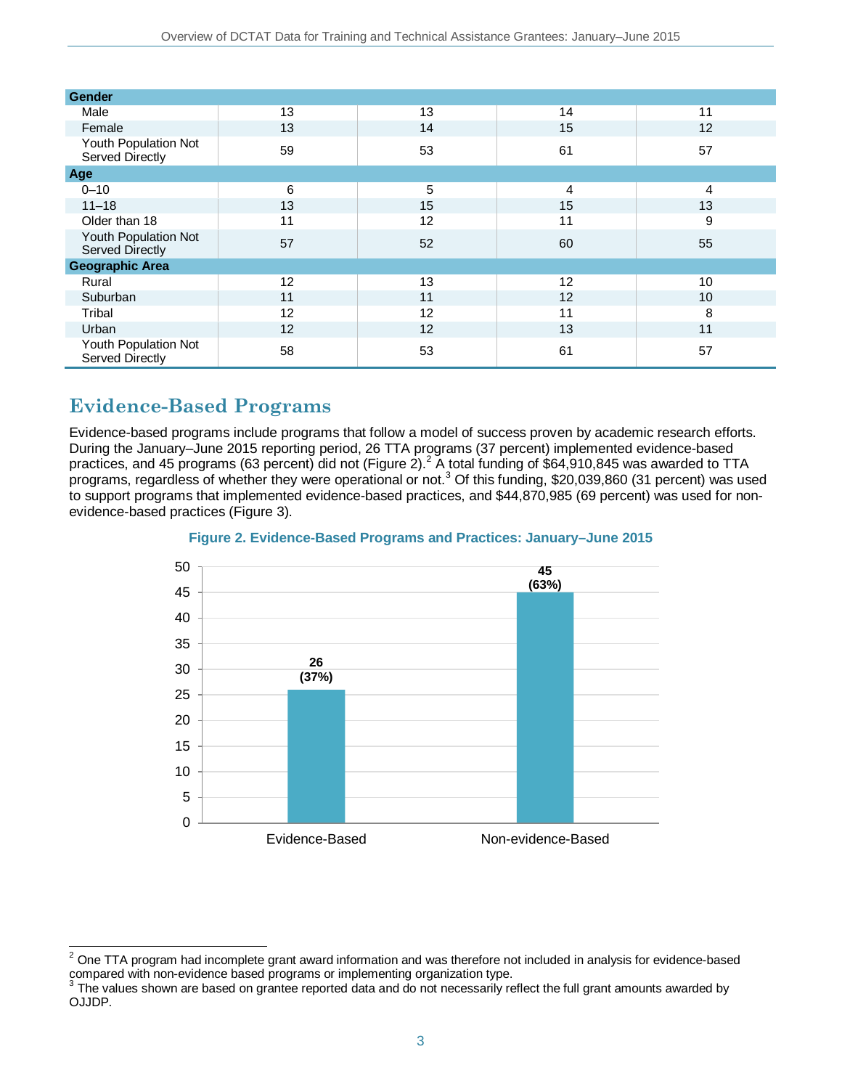| Gender                                  |    |    |    |                   |  |  |
|-----------------------------------------|----|----|----|-------------------|--|--|
| Male                                    | 13 | 13 | 14 | 11                |  |  |
| Female                                  | 13 | 14 | 15 | $12 \overline{ }$ |  |  |
| Youth Population Not<br>Served Directly | 59 | 53 | 61 | 57                |  |  |
| Age                                     |    |    |    |                   |  |  |
| $0 - 10$                                | 6  | 5  | 4  | 4                 |  |  |
| $11 - 18$                               | 13 | 15 | 15 | 13                |  |  |
| Older than 18                           | 11 | 12 | 11 | 9                 |  |  |
| Youth Population Not<br>Served Directly | 57 | 52 | 60 | 55                |  |  |
| <b>Geographic Area</b>                  |    |    |    |                   |  |  |
| Rural                                   | 12 | 13 | 12 | 10                |  |  |
| Suburban                                | 11 | 11 | 12 | 10 <sup>°</sup>   |  |  |
| Tribal                                  | 12 | 12 | 11 | 8                 |  |  |
| Urban                                   | 12 | 12 | 13 | 11                |  |  |
| Youth Population Not<br>Served Directly | 58 | 53 | 61 | 57                |  |  |

# **Evidence-Based Programs**

Evidence-based programs include programs that follow a model of success proven by academic research efforts. During the January–June 2015 reporting period, 26 TTA programs (37 percent) implemented evidence-based practices, and 45 programs (63 percent) did not (Figure [2](#page-2-0)).<sup>2</sup> A total funding of \$64,910,845 was awarded to TTA programs, regardless of whether they were operational or not. [3](#page-2-1) Of this funding, \$20,039,860 (31 percent) was used to support programs that implemented evidence-based practices, and \$44,870,985 (69 percent) was used for nonevidence-based practices (Figure 3).





<span id="page-2-0"></span> $\overline{a}$  $2$  One TTA program had incomplete grant award information and was therefore not included in analysis for evidence-based compared with non-evidence based programs or implementing organization type.<br><sup>3</sup> The values shown are based on grantee reported data and do not necessarily reflect the full grant amounts awarded by

<span id="page-2-1"></span>OJJDP.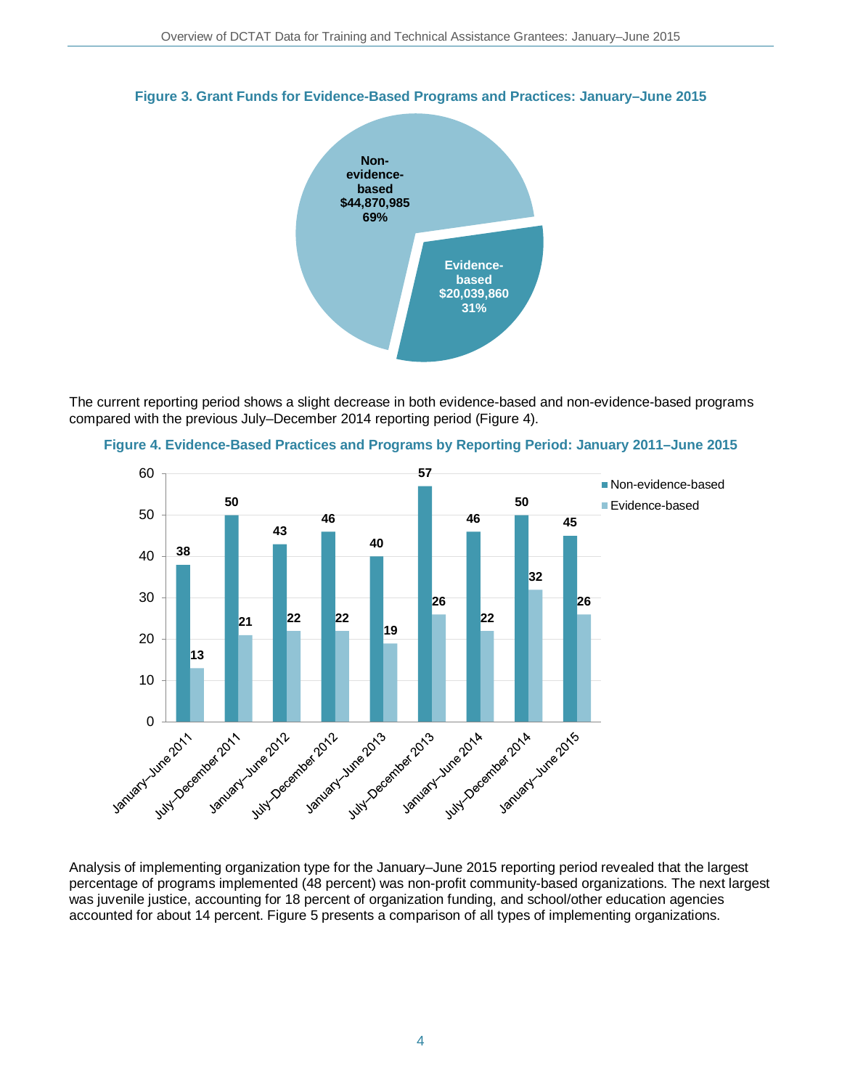

#### **Figure 3. Grant Funds for Evidence-Based Programs and Practices: January–June 2015**

The current reporting period shows a slight decrease in both evidence-based and non-evidence-based programs compared with the previous July–December 2014 reporting period (Figure 4).





Analysis of implementing organization type for the January–June 2015 reporting period revealed that the largest percentage of programs implemented (48 percent) was non-profit community-based organizations. The next largest was juvenile justice, accounting for 18 percent of organization funding, and school/other education agencies accounted for about 14 percent. Figure 5 presents a comparison of all types of implementing organizations.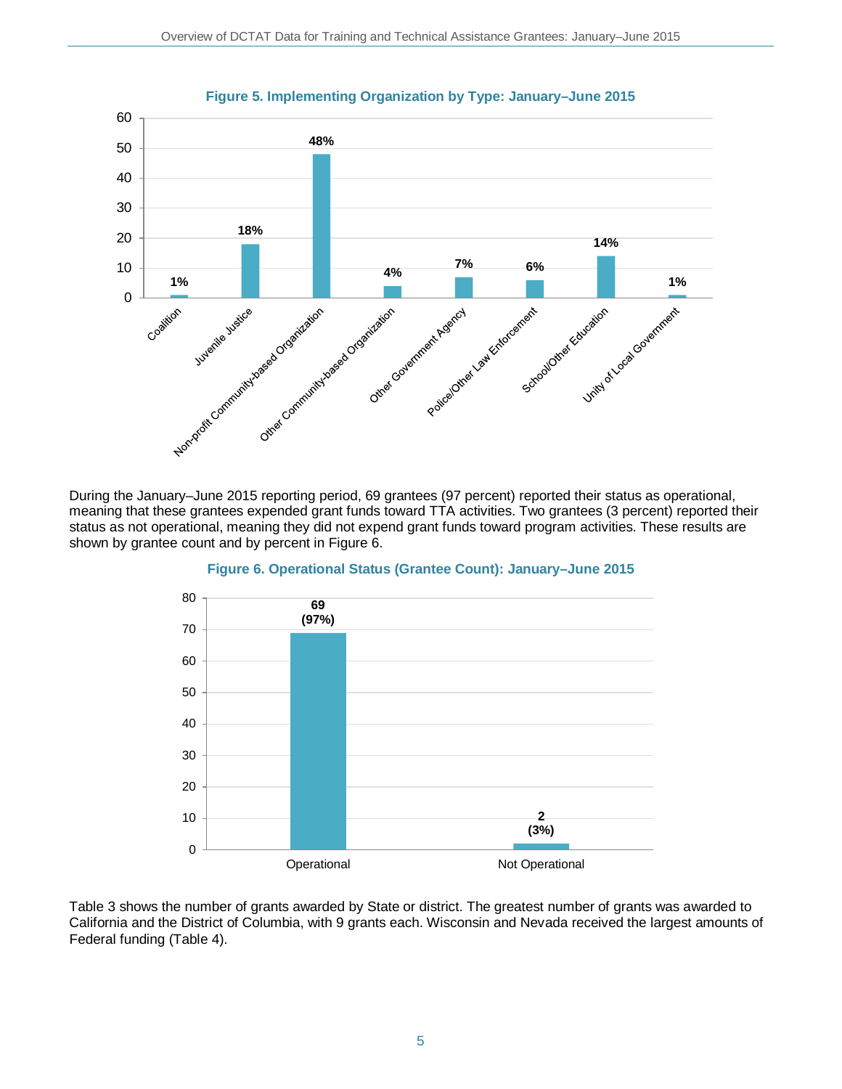

During the January–June 2015 reporting period, 69 grantees (97 percent) reported their status as operational, meaning that these grantees expended grant funds toward TTA activities. Two grantees (3 percent) reported their status as not operational, meaning they did not expend grant funds toward program activities. These results are shown by grantee count and by percent in Figure 6.



#### **Figure 6. Operational Status (Grantee Count): January–June 2015**

Table 3 shows the number of grants awarded by State or district. The greatest number of grants was awarded to California and the District of Columbia, with 9 grants each. Wisconsin and Nevada received the largest amounts of Federal funding (Table 4).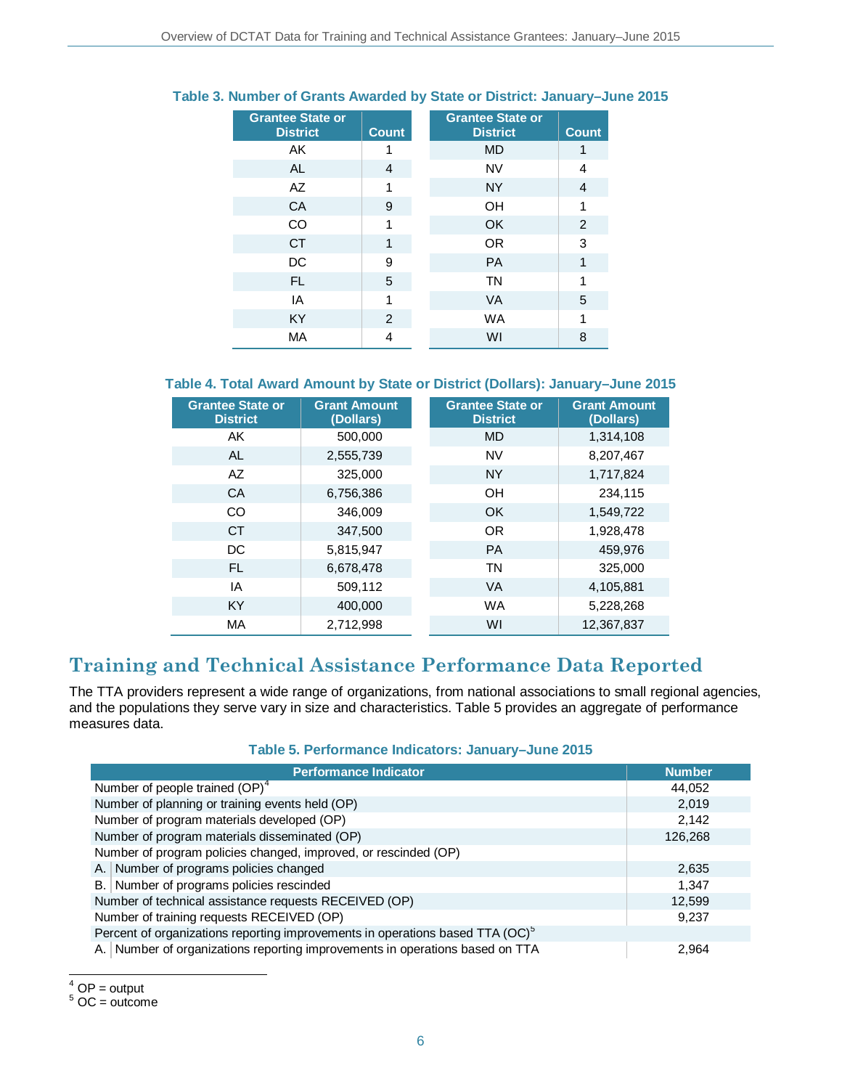| <b>Grantee State or</b><br><b>District</b> | <b>Count</b> | <b>Grantee State or</b><br><b>District</b> | <b>Count</b> |
|--------------------------------------------|--------------|--------------------------------------------|--------------|
| AK                                         |              | <b>MD</b>                                  |              |
| <b>AL</b>                                  | 4            | <b>NV</b>                                  | 4            |
| AZ                                         | 1            | <b>NY</b>                                  | 4            |
| CA                                         | 9            | OH                                         | 1            |
| CO                                         | 1            | OK                                         | 2            |
| <b>CT</b>                                  | 1            | <b>OR</b>                                  | 3            |
| DC                                         | 9            | <b>PA</b>                                  | 1            |
| FL.                                        | 5            | <b>TN</b>                                  | 1            |
| IA                                         | 1            | <b>VA</b>                                  | 5            |
| <b>KY</b>                                  | 2            | <b>WA</b>                                  | 1            |
| MA                                         | 4            | WI                                         | 8            |

### **Table 3. Number of Grants Awarded by State or District: January–June 2015**

### **Table 4. Total Award Amount by State or District (Dollars): January–June 2015**

| <b>Grantee State or</b><br><b>District</b> | <b>Grant Amount</b><br>(Dollars) | <b>Grantee State or</b><br><b>District</b> | <b>Grant Amount</b><br>(Dollars) |
|--------------------------------------------|----------------------------------|--------------------------------------------|----------------------------------|
| AK                                         | 500,000                          | <b>MD</b>                                  | 1,314,108                        |
| AL                                         | 2,555,739                        | <b>NV</b>                                  | 8,207,467                        |
| AZ                                         | 325,000                          | <b>NY</b>                                  | 1,717,824                        |
| <b>CA</b>                                  | 6,756,386                        | OH                                         | 234,115                          |
| <b>CO</b>                                  | 346.009                          | OK                                         | 1,549,722                        |
| CT.                                        | 347,500                          | OR                                         | 1,928,478                        |
| DC.                                        | 5,815,947                        | <b>PA</b>                                  | 459,976                          |
| FL.                                        | 6,678,478                        | <b>TN</b>                                  | 325,000                          |
| IA                                         | 509.112                          | <b>VA</b>                                  | 4,105,881                        |
| <b>KY</b>                                  | 400,000                          | <b>WA</b>                                  | 5,228,268                        |
| MA                                         | 2,712,998                        | WI                                         | 12,367,837                       |

### **Training and Technical Assistance Performance Data Reported**

The TTA providers represent a wide range of organizations, from national associations to small regional agencies, and the populations they serve vary in size and characteristics. Table 5 provides an aggregate of performance measures data.

|  | Table 5. Performance Indicators: January-June 2015 |  |  |  |
|--|----------------------------------------------------|--|--|--|
|--|----------------------------------------------------|--|--|--|

| <b>Performance Indicator</b>                                                              | <b>Number</b> |  |  |  |
|-------------------------------------------------------------------------------------------|---------------|--|--|--|
| Number of people trained (OP) <sup>4</sup>                                                | 44,052        |  |  |  |
| Number of planning or training events held (OP)                                           | 2,019         |  |  |  |
| Number of program materials developed (OP)                                                | 2,142         |  |  |  |
| Number of program materials disseminated (OP)                                             | 126,268       |  |  |  |
| Number of program policies changed, improved, or rescinded (OP)                           |               |  |  |  |
| A. Number of programs policies changed                                                    | 2,635         |  |  |  |
| B. Number of programs policies rescinded                                                  | 1,347         |  |  |  |
| Number of technical assistance requests RECEIVED (OP)                                     | 12,599        |  |  |  |
| Number of training requests RECEIVED (OP)                                                 | 9,237         |  |  |  |
| Percent of organizations reporting improvements in operations based TTA (OC) <sup>5</sup> |               |  |  |  |
| A. Number of organizations reporting improvements in operations based on TTA              | 2,964         |  |  |  |

<span id="page-5-1"></span><span id="page-5-0"></span> $^4$  OP = output<br><sup>5</sup> OC = outcome